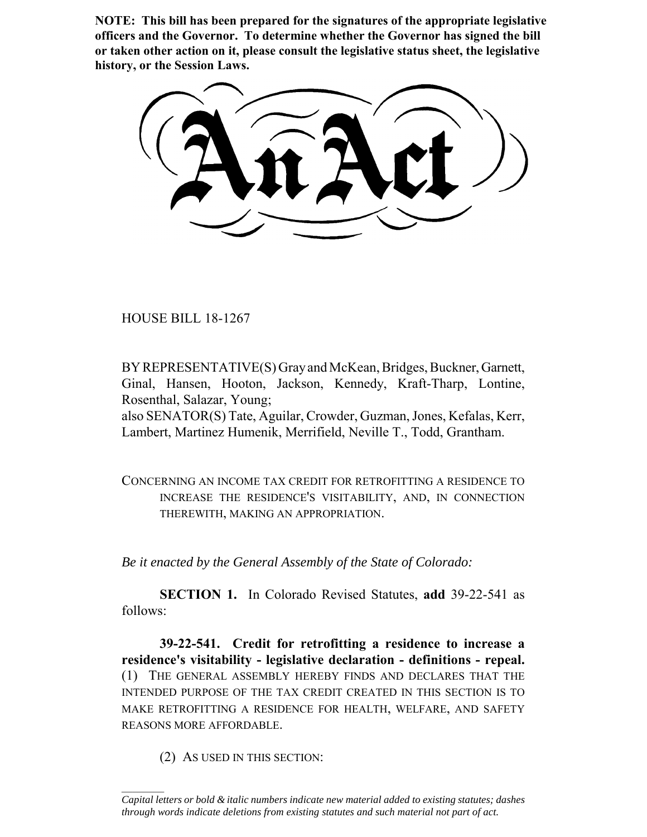**NOTE: This bill has been prepared for the signatures of the appropriate legislative officers and the Governor. To determine whether the Governor has signed the bill or taken other action on it, please consult the legislative status sheet, the legislative history, or the Session Laws.**

HOUSE BILL 18-1267

BY REPRESENTATIVE(S) Gray and McKean, Bridges, Buckner, Garnett, Ginal, Hansen, Hooton, Jackson, Kennedy, Kraft-Tharp, Lontine, Rosenthal, Salazar, Young;

also SENATOR(S) Tate, Aguilar, Crowder, Guzman, Jones, Kefalas, Kerr, Lambert, Martinez Humenik, Merrifield, Neville T., Todd, Grantham.

CONCERNING AN INCOME TAX CREDIT FOR RETROFITTING A RESIDENCE TO INCREASE THE RESIDENCE'S VISITABILITY, AND, IN CONNECTION THEREWITH, MAKING AN APPROPRIATION.

*Be it enacted by the General Assembly of the State of Colorado:*

**SECTION 1.** In Colorado Revised Statutes, **add** 39-22-541 as follows:

**39-22-541. Credit for retrofitting a residence to increase a residence's visitability - legislative declaration - definitions - repeal.** (1) THE GENERAL ASSEMBLY HEREBY FINDS AND DECLARES THAT THE INTENDED PURPOSE OF THE TAX CREDIT CREATED IN THIS SECTION IS TO MAKE RETROFITTING A RESIDENCE FOR HEALTH, WELFARE, AND SAFETY REASONS MORE AFFORDABLE.

(2) AS USED IN THIS SECTION:

 $\frac{1}{2}$ 

*Capital letters or bold & italic numbers indicate new material added to existing statutes; dashes through words indicate deletions from existing statutes and such material not part of act.*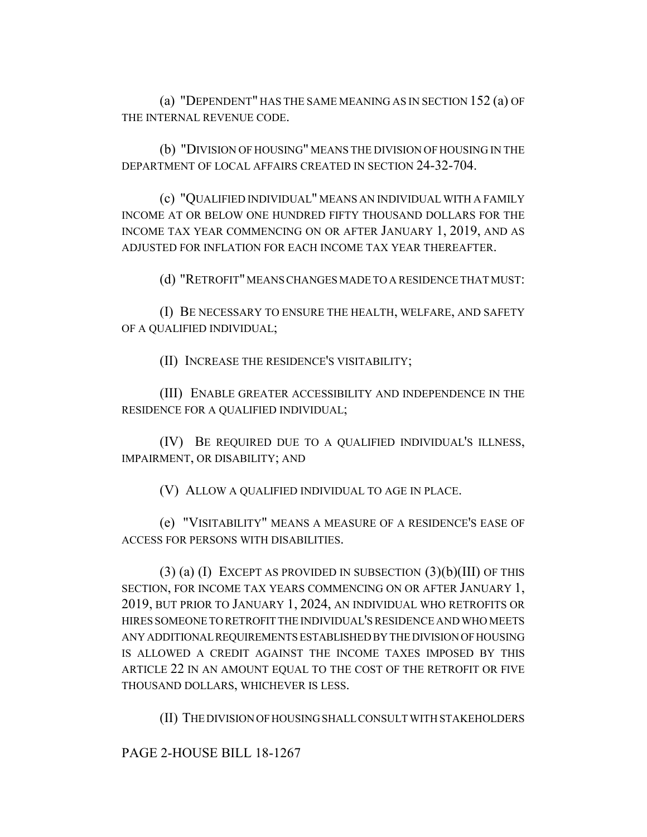(a) "DEPENDENT" HAS THE SAME MEANING AS IN SECTION 152 (a) OF THE INTERNAL REVENUE CODE.

(b) "DIVISION OF HOUSING" MEANS THE DIVISION OF HOUSING IN THE DEPARTMENT OF LOCAL AFFAIRS CREATED IN SECTION 24-32-704.

(c) "QUALIFIED INDIVIDUAL" MEANS AN INDIVIDUAL WITH A FAMILY INCOME AT OR BELOW ONE HUNDRED FIFTY THOUSAND DOLLARS FOR THE INCOME TAX YEAR COMMENCING ON OR AFTER JANUARY 1, 2019, AND AS ADJUSTED FOR INFLATION FOR EACH INCOME TAX YEAR THEREAFTER.

(d) "RETROFIT" MEANS CHANGES MADE TO A RESIDENCE THAT MUST:

(I) BE NECESSARY TO ENSURE THE HEALTH, WELFARE, AND SAFETY OF A QUALIFIED INDIVIDUAL;

(II) INCREASE THE RESIDENCE'S VISITABILITY;

(III) ENABLE GREATER ACCESSIBILITY AND INDEPENDENCE IN THE RESIDENCE FOR A QUALIFIED INDIVIDUAL;

(IV) BE REQUIRED DUE TO A QUALIFIED INDIVIDUAL'S ILLNESS, IMPAIRMENT, OR DISABILITY; AND

(V) ALLOW A QUALIFIED INDIVIDUAL TO AGE IN PLACE.

(e) "VISITABILITY" MEANS A MEASURE OF A RESIDENCE'S EASE OF ACCESS FOR PERSONS WITH DISABILITIES.

 $(3)$  (a) (I) EXCEPT AS PROVIDED IN SUBSECTION  $(3)(b)(III)$  OF THIS SECTION, FOR INCOME TAX YEARS COMMENCING ON OR AFTER JANUARY 1, 2019, BUT PRIOR TO JANUARY 1, 2024, AN INDIVIDUAL WHO RETROFITS OR HIRES SOMEONE TO RETROFIT THE INDIVIDUAL'S RESIDENCE AND WHO MEETS ANY ADDITIONAL REQUIREMENTS ESTABLISHED BY THE DIVISION OF HOUSING IS ALLOWED A CREDIT AGAINST THE INCOME TAXES IMPOSED BY THIS ARTICLE 22 IN AN AMOUNT EQUAL TO THE COST OF THE RETROFIT OR FIVE THOUSAND DOLLARS, WHICHEVER IS LESS.

(II) THE DIVISION OF HOUSING SHALL CONSULT WITH STAKEHOLDERS

PAGE 2-HOUSE BILL 18-1267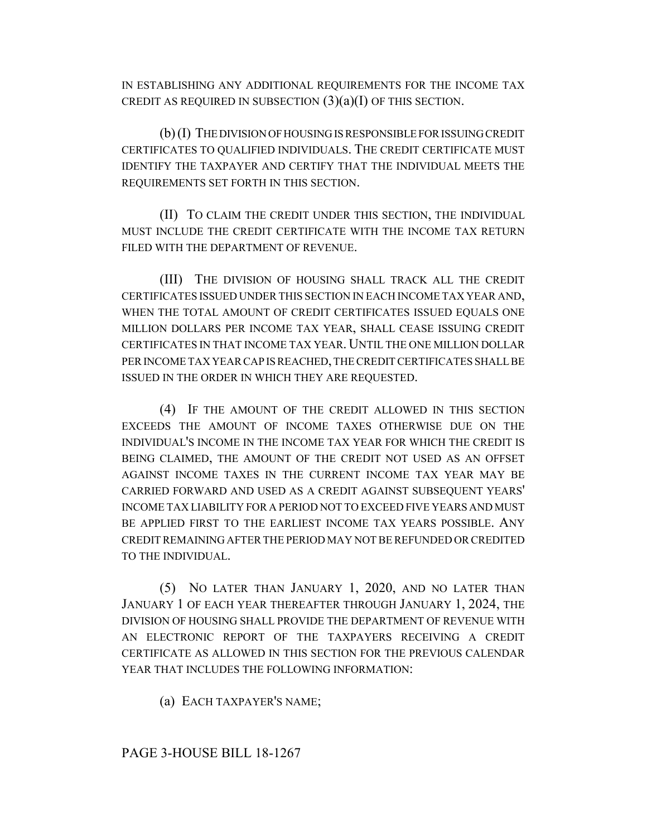IN ESTABLISHING ANY ADDITIONAL REQUIREMENTS FOR THE INCOME TAX CREDIT AS REQUIRED IN SUBSECTION  $(3)(a)(I)$  OF THIS SECTION.

(b) (I) THE DIVISION OF HOUSING IS RESPONSIBLE FOR ISSUING CREDIT CERTIFICATES TO QUALIFIED INDIVIDUALS. THE CREDIT CERTIFICATE MUST IDENTIFY THE TAXPAYER AND CERTIFY THAT THE INDIVIDUAL MEETS THE REQUIREMENTS SET FORTH IN THIS SECTION.

(II) TO CLAIM THE CREDIT UNDER THIS SECTION, THE INDIVIDUAL MUST INCLUDE THE CREDIT CERTIFICATE WITH THE INCOME TAX RETURN FILED WITH THE DEPARTMENT OF REVENUE.

(III) THE DIVISION OF HOUSING SHALL TRACK ALL THE CREDIT CERTIFICATES ISSUED UNDER THIS SECTION IN EACH INCOME TAX YEAR AND, WHEN THE TOTAL AMOUNT OF CREDIT CERTIFICATES ISSUED EQUALS ONE MILLION DOLLARS PER INCOME TAX YEAR, SHALL CEASE ISSUING CREDIT CERTIFICATES IN THAT INCOME TAX YEAR. UNTIL THE ONE MILLION DOLLAR PER INCOME TAX YEAR CAP IS REACHED, THE CREDIT CERTIFICATES SHALL BE ISSUED IN THE ORDER IN WHICH THEY ARE REQUESTED.

(4) IF THE AMOUNT OF THE CREDIT ALLOWED IN THIS SECTION EXCEEDS THE AMOUNT OF INCOME TAXES OTHERWISE DUE ON THE INDIVIDUAL'S INCOME IN THE INCOME TAX YEAR FOR WHICH THE CREDIT IS BEING CLAIMED, THE AMOUNT OF THE CREDIT NOT USED AS AN OFFSET AGAINST INCOME TAXES IN THE CURRENT INCOME TAX YEAR MAY BE CARRIED FORWARD AND USED AS A CREDIT AGAINST SUBSEQUENT YEARS' INCOME TAX LIABILITY FOR A PERIOD NOT TO EXCEED FIVE YEARS AND MUST BE APPLIED FIRST TO THE EARLIEST INCOME TAX YEARS POSSIBLE. ANY CREDIT REMAINING AFTER THE PERIOD MAY NOT BE REFUNDED OR CREDITED TO THE INDIVIDUAL.

(5) NO LATER THAN JANUARY 1, 2020, AND NO LATER THAN JANUARY 1 OF EACH YEAR THEREAFTER THROUGH JANUARY 1, 2024, THE DIVISION OF HOUSING SHALL PROVIDE THE DEPARTMENT OF REVENUE WITH AN ELECTRONIC REPORT OF THE TAXPAYERS RECEIVING A CREDIT CERTIFICATE AS ALLOWED IN THIS SECTION FOR THE PREVIOUS CALENDAR YEAR THAT INCLUDES THE FOLLOWING INFORMATION:

(a) EACH TAXPAYER'S NAME;

## PAGE 3-HOUSE BILL 18-1267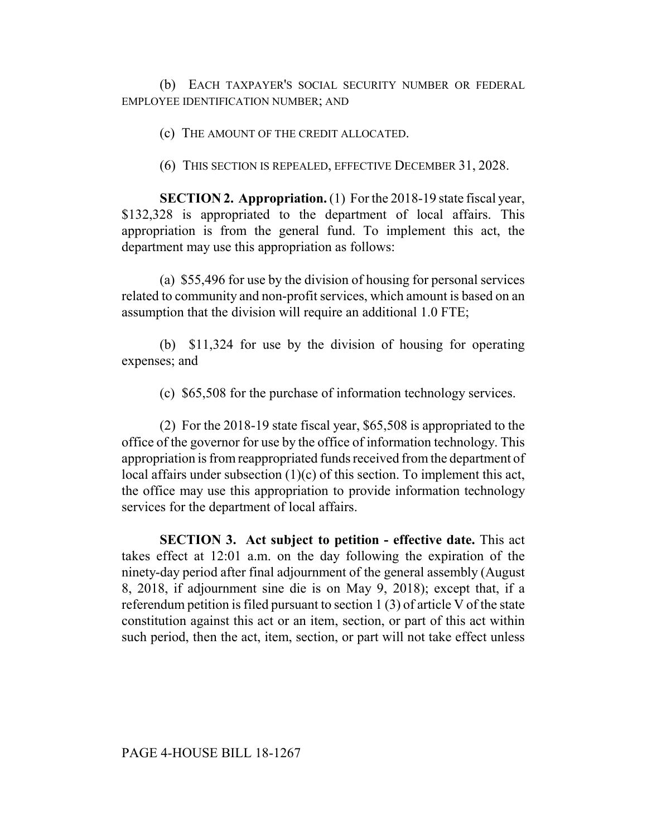(b) EACH TAXPAYER'S SOCIAL SECURITY NUMBER OR FEDERAL EMPLOYEE IDENTIFICATION NUMBER; AND

(c) THE AMOUNT OF THE CREDIT ALLOCATED.

(6) THIS SECTION IS REPEALED, EFFECTIVE DECEMBER 31, 2028.

**SECTION 2. Appropriation.** (1) For the 2018-19 state fiscal year, \$132,328 is appropriated to the department of local affairs. This appropriation is from the general fund. To implement this act, the department may use this appropriation as follows:

(a) \$55,496 for use by the division of housing for personal services related to community and non-profit services, which amount is based on an assumption that the division will require an additional 1.0 FTE;

(b) \$11,324 for use by the division of housing for operating expenses; and

(c) \$65,508 for the purchase of information technology services.

(2) For the 2018-19 state fiscal year, \$65,508 is appropriated to the office of the governor for use by the office of information technology. This appropriation is from reappropriated funds received from the department of local affairs under subsection (1)(c) of this section. To implement this act, the office may use this appropriation to provide information technology services for the department of local affairs.

**SECTION 3. Act subject to petition - effective date.** This act takes effect at 12:01 a.m. on the day following the expiration of the ninety-day period after final adjournment of the general assembly (August 8, 2018, if adjournment sine die is on May 9, 2018); except that, if a referendum petition is filed pursuant to section 1 (3) of article V of the state constitution against this act or an item, section, or part of this act within such period, then the act, item, section, or part will not take effect unless